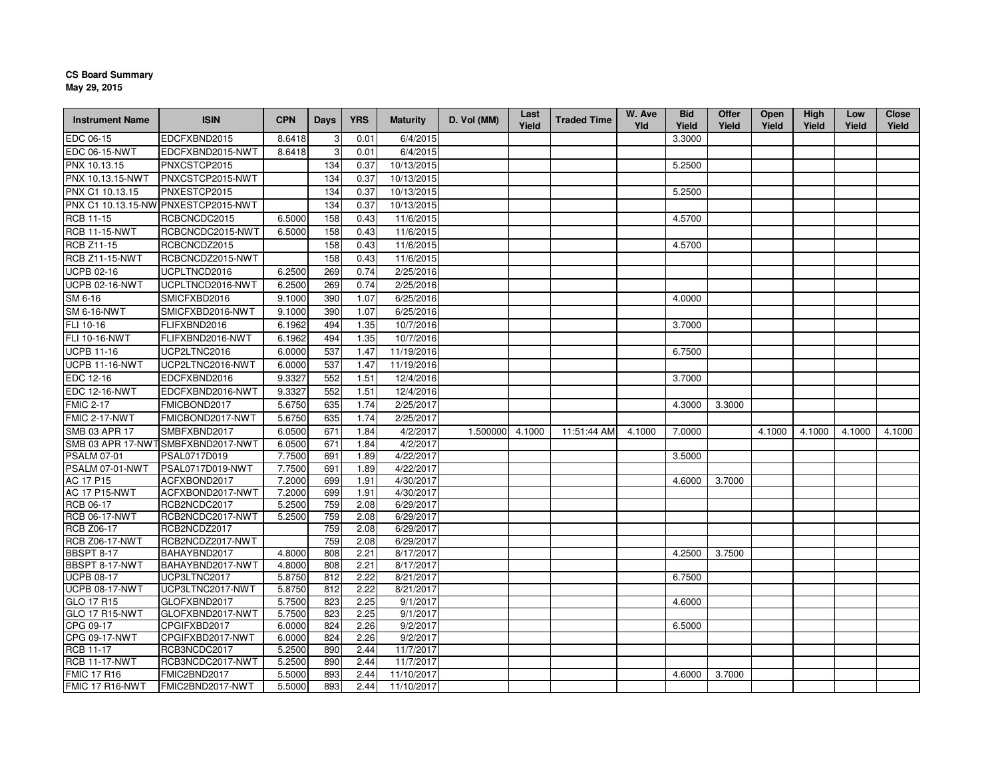## **CS Board SummaryMay 29, 2015**

| <b>Instrument Name</b>                     | <b>ISIN</b>                         | <b>CPN</b> | <b>Days</b> | <b>YRS</b>   | <b>Maturity</b>        | D. Vol (MM) | Last<br>Yield | <b>Traded Time</b> | W. Ave<br>Yld | <b>Bid</b><br>Yield | <b>Offer</b><br>Yield | <b>Open</b><br>Yield | High<br>Yield | Low<br>Yield | <b>Close</b><br>Yield |
|--------------------------------------------|-------------------------------------|------------|-------------|--------------|------------------------|-------------|---------------|--------------------|---------------|---------------------|-----------------------|----------------------|---------------|--------------|-----------------------|
| EDC 06-15                                  | EDCFXBND2015                        | 8.6418     |             | 0.01         | 6/4/2015               |             |               |                    |               | 3.3000              |                       |                      |               |              |                       |
| EDC 06-15-NWT                              | EDCFXBND2015-NWT                    | 8.6418     | 3           | 0.01         | 6/4/2015               |             |               |                    |               |                     |                       |                      |               |              |                       |
| PNX 10.13.15                               | PNXCSTCP2015                        |            | 134         | 0.37         | 10/13/2015             |             |               |                    |               | 5.2500              |                       |                      |               |              |                       |
| <b>PNX 10.13.15-NWT</b>                    | PNXCSTCP2015-NWT                    |            | 134         | 0.37         | 10/13/2015             |             |               |                    |               |                     |                       |                      |               |              |                       |
| PNX C1 10.13.15                            | PNXESTCP2015                        |            | 134         | 0.37         | 10/13/2015             |             |               |                    |               | 5.2500              |                       |                      |               |              |                       |
|                                            | PNX C1 10.13.15-NW PNXESTCP2015-NWT |            | 134         | 0.37         | 10/13/2015             |             |               |                    |               |                     |                       |                      |               |              |                       |
| <b>RCB</b> 11-15                           | RCBCNCDC2015                        | 6.5000     | 158         | 0.43         | 11/6/2015              |             |               |                    |               | 4.5700              |                       |                      |               |              |                       |
| <b>RCB 11-15-NWT</b>                       | RCBCNCDC2015-NWT                    | 6.5000     | 158         | 0.43         | 11/6/2015              |             |               |                    |               |                     |                       |                      |               |              |                       |
| <b>RCB Z11-15</b>                          | RCBCNCDZ2015                        |            | 158         | 0.43         | 11/6/2015              |             |               |                    |               | 4.5700              |                       |                      |               |              |                       |
| <b>RCB Z11-15-NWT</b>                      | RCBCNCDZ2015-NWT                    |            | 158         | 0.43         | 11/6/2015              |             |               |                    |               |                     |                       |                      |               |              |                       |
| <b>UCPB 02-16</b>                          | UCPLTNCD2016                        | 6.2500     | 269         | 0.74         | 2/25/2016              |             |               |                    |               |                     |                       |                      |               |              |                       |
| <b>UCPB 02-16-NWT</b>                      | UCPLTNCD2016-NWT                    | 6.2500     | 269         | 0.74         | 2/25/2016              |             |               |                    |               |                     |                       |                      |               |              |                       |
| SM 6-16                                    | SMICFXBD2016                        | 9.1000     | 390         | 1.07         | 6/25/2016              |             |               |                    |               | 4.0000              |                       |                      |               |              |                       |
| SM 6-16-NWT                                | SMICFXBD2016-NWT                    | 9.1000     | 390         | 1.07         | 6/25/2016              |             |               |                    |               |                     |                       |                      |               |              |                       |
| FLI 10-16                                  | FLIFXBND2016                        | 6.1962     | 494         | 1.35         | 10/7/2016              |             |               |                    |               | 3.7000              |                       |                      |               |              |                       |
| FLI 10-16-NWT                              | FLIFXBND2016-NWT                    | 6.1962     | 494         | 1.35         | 10/7/2016              |             |               |                    |               |                     |                       |                      |               |              |                       |
| <b>UCPB 11-16</b>                          | UCP2LTNC2016                        | 6.0000     | 537         | 1.47         | 11/19/2016             |             |               |                    |               | 6.7500              |                       |                      |               |              |                       |
| <b>UCPB 11-16-NWT</b>                      | UCP2LTNC2016-NWT                    | 6.0000     | 537         | 1.47         | 11/19/2016             |             |               |                    |               |                     |                       |                      |               |              |                       |
| EDC 12-16                                  | EDCFXBND2016                        | 9.3327     | 552         | 1.51         | 12/4/2016              |             |               |                    |               | 3.7000              |                       |                      |               |              |                       |
| <b>EDC 12-16-NWT</b>                       | EDCFXBND2016-NWT                    | 9.3327     | 552         | 1.51         | 12/4/2016              |             |               |                    |               |                     |                       |                      |               |              |                       |
| <b>FMIC 2-17</b>                           | FMICBOND2017                        | 5.6750     | 635         | 1.74         | 2/25/2017              |             |               |                    |               | 4.3000              | 3.3000                |                      |               |              |                       |
| <b>FMIC 2-17-NWT</b>                       | FMICBOND2017-NWT                    | 5.6750     | 635         | 1.74         | 2/25/2017              |             |               |                    |               |                     |                       |                      |               |              |                       |
| SMB 03 APR 17                              | SMBFXBND2017                        | 6.0500     | 671         | 1.84         | 4/2/2017               | 1.500000    | 4.1000        | 11:51:44 AM        | 4.1000        | 7.0000              |                       | 4.1000               | 4.1000        | 4.1000       | 4.1000                |
|                                            | SMB 03 APR 17-NWTSMBFXBND2017-NWT   | 6.0500     | 671         | 1.84         | 4/2/2017               |             |               |                    |               |                     |                       |                      |               |              |                       |
| <b>PSALM 07-01</b>                         | PSAL0717D019                        | 7.7500     | 691         | 1.89         | 4/22/2017              |             |               |                    |               | 3.5000              |                       |                      |               |              |                       |
| <b>PSALM 07-01-NWT</b>                     | PSAL0717D019-NWT                    | 7.7500     | 691         | 1.89         | 4/22/2017              |             |               |                    |               |                     |                       |                      |               |              |                       |
| AC 17 P15                                  | ACFXBOND2017                        | 7.2000     | 699         | 1.91         | 4/30/2017              |             |               |                    |               | 4.6000              | 3.7000                |                      |               |              |                       |
| <b>AC 17 P15-NWT</b>                       | ACFXBOND2017-NWT                    | 7.2000     | 699         | 1.91         | 4/30/2017              |             |               |                    |               |                     |                       |                      |               |              |                       |
| <b>RCB 06-17</b>                           | RCB2NCDC2017                        | 5.2500     | 759         | 2.08         | 6/29/2017              |             |               |                    |               |                     |                       |                      |               |              |                       |
| <b>RCB 06-17-NWT</b>                       | RCB2NCDC2017-NWT                    | 5.2500     | 759         | 2.08         | 6/29/2017              |             |               |                    |               |                     |                       |                      |               |              |                       |
| <b>RCB Z06-17</b><br><b>RCB Z06-17-NWT</b> | RCB2NCDZ2017<br>RCB2NCDZ2017-NWT    |            | 759<br>759  | 2.08<br>2.08 | 6/29/2017<br>6/29/2017 |             |               |                    |               |                     |                       |                      |               |              |                       |
| <b>BBSPT 8-17</b>                          | BAHAYBND2017                        | 4.8000     | 808         | 2.21         | 8/17/2017              |             |               |                    |               | 4.2500              | 3.7500                |                      |               |              |                       |
| BBSPT 8-17-NWT                             | BAHAYBND2017-NWT                    | 4.8000     | 808         | 2.21         | 8/17/2017              |             |               |                    |               |                     |                       |                      |               |              |                       |
| <b>UCPB 08-17</b>                          | UCP3LTNC2017                        | 5.8750     | 812         | 2.22         | 8/21/2017              |             |               |                    |               | 6.7500              |                       |                      |               |              |                       |
| <b>UCPB 08-17-NWT</b>                      | UCP3LTNC2017-NWT                    | 5.8750     | 812         | 2.22         | 8/21/2017              |             |               |                    |               |                     |                       |                      |               |              |                       |
| GLO 17 R15                                 | GLOFXBND2017                        | 5.7500     | 823         | 2.25         | 9/1/2017               |             |               |                    |               | 4.6000              |                       |                      |               |              |                       |
| <b>GLO 17 R15-NWT</b>                      | GLOFXBND2017-NWT                    | 5.7500     | 823         | 2.25         | 9/1/2017               |             |               |                    |               |                     |                       |                      |               |              |                       |
| CPG 09-17                                  | CPGIFXBD2017                        | 6.0000     | 824         | 2.26         | 9/2/2017               |             |               |                    |               | 6.5000              |                       |                      |               |              |                       |
| CPG 09-17-NWT                              | CPGIFXBD2017-NWT                    | 6.0000     | 824         | 2.26         | 9/2/2017               |             |               |                    |               |                     |                       |                      |               |              |                       |
| <b>RCB 11-17</b>                           | RCB3NCDC2017                        | 5.2500     | 890         | 2.44         | 11/7/2017              |             |               |                    |               |                     |                       |                      |               |              |                       |
| <b>RCB 11-17-NWT</b>                       | RCB3NCDC2017-NWT                    | 5.2500     | 890         | 2.44         | 11/7/2017              |             |               |                    |               |                     |                       |                      |               |              |                       |
| <b>FMIC 17 R16</b>                         | FMIC2BND2017                        | 5.5000     | 893         | 2.44         | 11/10/2017             |             |               |                    |               | 4.6000              | 3.7000                |                      |               |              |                       |
| FMIC 17 R16-NWT                            | FMIC2BND2017-NWT                    | 5.5000     | 893         | 2.44         | 11/10/2017             |             |               |                    |               |                     |                       |                      |               |              |                       |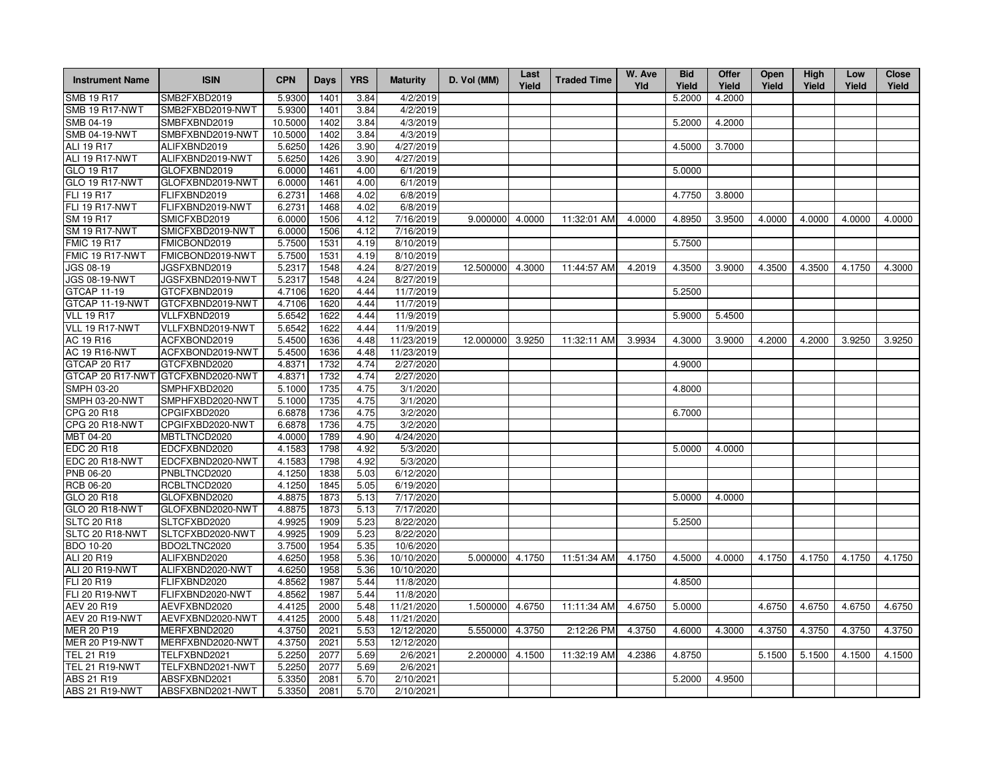| <b>Instrument Name</b> | <b>ISIN</b>      | <b>CPN</b> | Days | <b>YRS</b> | <b>Maturity</b> | D. Vol (MM) | Last<br>Yield | <b>Traded Time</b> | W. Ave<br>Yld | <b>Bid</b><br>Yield | Offer<br>Yield | Open<br>Yield | High<br>Yield | Low<br>Yield | <b>Close</b><br>Yield |
|------------------------|------------------|------------|------|------------|-----------------|-------------|---------------|--------------------|---------------|---------------------|----------------|---------------|---------------|--------------|-----------------------|
| <b>SMB 19 R17</b>      | SMB2FXBD2019     | 5.9300     | 1401 | 3.84       | 4/2/2019        |             |               |                    |               | 5.2000              | 4.2000         |               |               |              |                       |
| <b>SMB 19 R17-NWT</b>  | SMB2FXBD2019-NWT | 5.9300     | 1401 | 3.84       | 4/2/2019        |             |               |                    |               |                     |                |               |               |              |                       |
| SMB 04-19              | SMBFXBND2019     | 10.5000    | 1402 | 3.84       | 4/3/2019        |             |               |                    |               | 5.2000              | 4.2000         |               |               |              |                       |
| <b>SMB 04-19-NWT</b>   | SMBFXBND2019-NWT | 10.5000    | 1402 | 3.84       | 4/3/2019        |             |               |                    |               |                     |                |               |               |              |                       |
| ALI 19 R17             | ALIFXBND2019     | 5.6250     | 1426 | 3.90       | 4/27/2019       |             |               |                    |               | 4.5000              | 3.7000         |               |               |              |                       |
| ALI 19 R17-NWT         | ALIFXBND2019-NWT | 5.6250     | 1426 | 3.90       | 4/27/2019       |             |               |                    |               |                     |                |               |               |              |                       |
| GLO 19 R17             | GLOFXBND2019     | 6.0000     | 1461 | 4.00       | 6/1/2019        |             |               |                    |               | 5.0000              |                |               |               |              |                       |
| <b>GLO 19 R17-NWT</b>  | GLOFXBND2019-NWT | 6.0000     | 1461 | 4.00       | 6/1/2019        |             |               |                    |               |                     |                |               |               |              |                       |
| FLI 19 R17             | FLIFXBND2019     | 6.2731     | 1468 | 4.02       | 6/8/2019        |             |               |                    |               | 4.7750              | 3.8000         |               |               |              |                       |
| <b>FLI 19 R17-NWT</b>  | FLIFXBND2019-NWT | 6.2731     | 1468 | 4.02       | 6/8/2019        |             |               |                    |               |                     |                |               |               |              |                       |
| SM 19 R17              | SMICFXBD2019     | 6.0000     | 1506 | 4.12       | 7/16/2019       | 9.000000    | 4.0000        | 11:32:01 AM        | 4.0000        | 4.8950              | 3.9500         | 4.0000        | 4.0000        | 4.0000       | 4.0000                |
| <b>SM 19 R17-NWT</b>   | SMICFXBD2019-NWT | 6.0000     | 1506 | 4.12       | 7/16/2019       |             |               |                    |               |                     |                |               |               |              |                       |
| <b>FMIC 19 R17</b>     | FMICBOND2019     | 5.7500     | 1531 | 4.19       | 8/10/2019       |             |               |                    |               | 5.7500              |                |               |               |              |                       |
| FMIC 19 R17-NWT        | FMICBOND2019-NWT | 5.7500     | 1531 | 4.19       | 8/10/2019       |             |               |                    |               |                     |                |               |               |              |                       |
| <b>JGS 08-19</b>       | JGSFXBND2019     | 5.2317     | 1548 | 4.24       | 8/27/2019       | 12.500000   | 4.3000        | 11:44:57 AM        | 4.2019        | 4.3500              | 3.9000         | 4.3500        | 4.3500        | 4.1750       | 4.3000                |
| <b>JGS 08-19-NWT</b>   | JGSFXBND2019-NWT | 5.2317     | 1548 | 4.24       | 8/27/2019       |             |               |                    |               |                     |                |               |               |              |                       |
| GTCAP 11-19            | GTCFXBND2019     | 4.7106     | 1620 | 4.44       | 11/7/2019       |             |               |                    |               | 5.2500              |                |               |               |              |                       |
| GTCAP 11-19-NWT        | GTCFXBND2019-NWT | 4.7106     | 1620 | 4.44       | 11/7/2019       |             |               |                    |               |                     |                |               |               |              |                       |
| <b>VLL 19 R17</b>      | VLLFXBND2019     | 5.6542     | 1622 | 4.44       | 11/9/2019       |             |               |                    |               | 5.9000              | 5.4500         |               |               |              |                       |
| VLL 19 R17-NWT         | VLLFXBND2019-NWT | 5.6542     | 1622 | 4.44       | 11/9/2019       |             |               |                    |               |                     |                |               |               |              |                       |
| AC 19 R16              | ACFXBOND2019     | 5.4500     | 1636 | 4.48       | 11/23/2019      | 12.000000   | 3.9250        | 11:32:11 AM        | 3.9934        | 4.3000              | 3.9000         | 4.2000        | 4.2000        | 3.9250       | 3.9250                |
| <b>AC 19 R16-NWT</b>   | ACFXBOND2019-NWT | 5.4500     | 1636 | 4.48       | 11/23/2019      |             |               |                    |               |                     |                |               |               |              |                       |
| GTCAP 20 R17           | GTCFXBND2020     | 4.8371     | 1732 | 4.74       | 2/27/2020       |             |               |                    |               | 4.9000              |                |               |               |              |                       |
| GTCAP 20 R17-NWT       | GTCFXBND2020-NWT | 4.8371     | 1732 | 4.74       | 2/27/2020       |             |               |                    |               |                     |                |               |               |              |                       |
| SMPH 03-20             | SMPHFXBD2020     | 5.1000     | 1735 | 4.75       | 3/1/2020        |             |               |                    |               | 4.8000              |                |               |               |              |                       |
| <b>SMPH 03-20-NWT</b>  | SMPHFXBD2020-NWT | 5.1000     | 1735 | 4.75       | 3/1/2020        |             |               |                    |               |                     |                |               |               |              |                       |
| CPG 20 R18             | CPGIFXBD2020     | 6.6878     | 1736 | 4.75       | 3/2/2020        |             |               |                    |               | 6.7000              |                |               |               |              |                       |
| CPG 20 R18-NWT         | CPGIFXBD2020-NWT | 6.6878     | 1736 | 4.75       | 3/2/2020        |             |               |                    |               |                     |                |               |               |              |                       |
| MBT 04-20              | MBTLTNCD2020     | 4.0000     | 1789 | 4.90       | 4/24/2020       |             |               |                    |               |                     |                |               |               |              |                       |
| EDC 20 R18             | EDCFXBND2020     | 4.1583     | 1798 | 4.92       | 5/3/2020        |             |               |                    |               | 5.0000              | 4.0000         |               |               |              |                       |
| EDC 20 R18-NWT         | EDCFXBND2020-NWT | 4.1583     | 1798 | 4.92       | 5/3/2020        |             |               |                    |               |                     |                |               |               |              |                       |
| PNB 06-20              | PNBLTNCD2020     | 4.1250     | 1838 | 5.03       | 6/12/2020       |             |               |                    |               |                     |                |               |               |              |                       |
| RCB 06-20              | RCBLTNCD2020     | 4.1250     | 1845 | 5.05       | 6/19/2020       |             |               |                    |               |                     |                |               |               |              |                       |
| GLO 20 R18             | GLOFXBND2020     | 4.8875     | 1873 | 5.13       | 7/17/2020       |             |               |                    |               | 5.0000              | 4.0000         |               |               |              |                       |
| GLO 20 R18-NWT         | GLOFXBND2020-NWT | 4.8875     | 1873 | 5.13       | 7/17/2020       |             |               |                    |               |                     |                |               |               |              |                       |
| <b>SLTC 20 R18</b>     | SLTCFXBD2020     | 4.9925     | 1909 | 5.23       | 8/22/2020       |             |               |                    |               | 5.2500              |                |               |               |              |                       |
| SLTC 20 R18-NWT        | SLTCFXBD2020-NWT | 4.9925     | 1909 | 5.23       | 8/22/2020       |             |               |                    |               |                     |                |               |               |              |                       |
| <b>BDO 10-20</b>       | BDO2LTNC2020     | 3.7500     | 1954 | 5.35       | 10/6/2020       |             |               |                    |               |                     |                |               |               |              |                       |
| ALI 20 R19             | ALIFXBND2020     | 4.6250     | 1958 | 5.36       | 10/10/2020      | 5.000000    | 4.1750        | 11:51:34 AM        | 4.1750        | 4.5000              | 4.0000         | 4.1750        | 4.1750        | 4.1750       | 4.1750                |
| <b>ALI 20 R19-NWT</b>  | ALIFXBND2020-NWT | 4.6250     | 1958 | 5.36       | 10/10/2020      |             |               |                    |               |                     |                |               |               |              |                       |
| FLI 20 R19             | FLIFXBND2020     | 4.8562     | 1987 | 5.44       | 11/8/2020       |             |               |                    |               | 4.8500              |                |               |               |              |                       |
| FLI 20 R19-NWT         | FLIFXBND2020-NWT | 4.8562     | 1987 | 5.44       | 11/8/2020       |             |               |                    |               |                     |                |               |               |              |                       |
| AEV 20 R19             | AEVFXBND2020     | 4.4125     | 2000 | 5.48       | 11/21/2020      | 1.500000    | 4.6750        | 11:11:34 AM        | 4.6750        | 5.0000              |                | 4.6750        | 4.6750        | 4.6750       | 4.6750                |
| AEV 20 R19-NWT         | AEVFXBND2020-NWT | 4.4125     | 2000 | 5.48       | 11/21/2020      |             |               |                    |               |                     |                |               |               |              |                       |
| <b>MER 20 P19</b>      | MERFXBND2020     | 4.3750     | 2021 | 5.53       | 12/12/2020      | 5.550000    | 4.3750        | 2:12:26 PM         | 4.3750        | 4.6000              | 4.3000         | 4.3750        | 4.3750        | 4.3750       | 4.3750                |
| <b>MER 20 P19-NWT</b>  | MERFXBND2020-NWT | 4.3750     | 2021 | 5.53       | 12/12/2020      |             |               |                    |               |                     |                |               |               |              |                       |
| TEL 21 R19             | TELFXBND2021     | 5.2250     | 2077 | 5.69       | 2/6/2021        | 2.200000    | 4.1500        | 11:32:19 AM        | 4.2386        | 4.8750              |                | 5.1500        | 5.1500        | 4.1500       | 4.1500                |
| TEL 21 R19-NWT         | TELFXBND2021-NWT | 5.2250     | 2077 | 5.69       | 2/6/2021        |             |               |                    |               |                     |                |               |               |              |                       |
| ABS 21 R19             | ABSFXBND2021     | 5.3350     | 2081 | 5.70       | 2/10/2021       |             |               |                    |               | 5.2000              | 4.9500         |               |               |              |                       |
| ABS 21 R19-NWT         | ABSFXBND2021-NWT | 5.3350     | 2081 | 5.70       | 2/10/2021       |             |               |                    |               |                     |                |               |               |              |                       |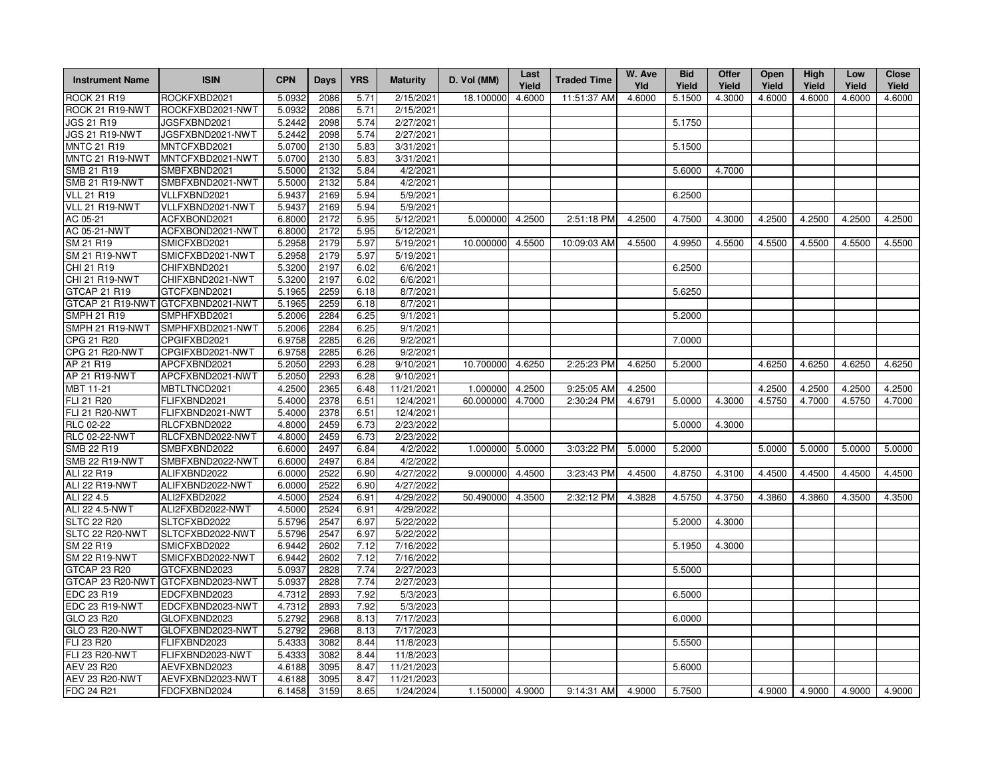| <b>Instrument Name</b> | <b>ISIN</b>                       | <b>CPN</b>       | Days         | <b>YRS</b>   | <b>Maturity</b>    | D. Vol (MM)     | Last<br>Yield | <b>Traded Time</b> | W. Ave<br>Yld | <b>Bid</b><br>Yield | Offer<br>Yield | Open<br>Yield | High<br>Yield | Low<br>Yield  | <b>Close</b><br>Yield |
|------------------------|-----------------------------------|------------------|--------------|--------------|--------------------|-----------------|---------------|--------------------|---------------|---------------------|----------------|---------------|---------------|---------------|-----------------------|
| <b>ROCK 21 R19</b>     | ROCKFXBD2021                      | 5.0932           | 2086         | 5.71         | $\sqrt{2}/15/2021$ | 18.100000       | 4.6000        | 11:51:37 AM        | 4.6000        | 5.1500              | 4.3000         | 4.6000        | 4.6000        | 4.6000        | 4.6000                |
| ROCK 21 R19-NWT        | ROCKFXBD2021-NWT                  | 5.0932           | 2086         | 5.71         | 2/15/2021          |                 |               |                    |               |                     |                |               |               |               |                       |
| <b>JGS 21 R19</b>      | JGSFXBND2021                      | 5.2442           | 2098         | 5.74         | 2/27/2021          |                 |               |                    |               | 5.1750              |                |               |               |               |                       |
| JGS 21 R19-NWT         | JGSFXBND2021-NWT                  | 5.2442           | 2098         | 5.74         | 2/27/2021          |                 |               |                    |               |                     |                |               |               |               |                       |
| <b>MNTC 21 R19</b>     | MNTCFXBD2021                      | 5.0700           | 2130         | 5.83         | 3/31/2021          |                 |               |                    |               | 5.1500              |                |               |               |               |                       |
| MNTC 21 R19-NWT        | MNTCFXBD2021-NWT                  | 5.0700           | 2130         | 5.83         | 3/31/2021          |                 |               |                    |               |                     |                |               |               |               |                       |
| SMB 21 R19             | SMBFXBND2021                      | 5.5000           | 2132         | 5.84         | 4/2/2021           |                 |               |                    |               | 5.6000              | 4.7000         |               |               |               |                       |
| <b>SMB 21 R19-NWT</b>  | SMBFXBND2021-NWT                  | 5.5000           | 2132         | 5.84         | 4/2/2021           |                 |               |                    |               |                     |                |               |               |               |                       |
| <b>VLL 21 R19</b>      | VLLFXBND2021                      | 5.9437           | 2169         | 5.94         | 5/9/2021           |                 |               |                    |               | 6.2500              |                |               |               |               |                       |
| VLL 21 R19-NWT         | VLLFXBND2021-NWT                  | 5.9437           | 2169         | 5.94         | 5/9/2021           |                 |               |                    |               |                     |                |               |               |               |                       |
| AC 05-21               | ACFXBOND2021                      | 6.8000           | 2172         | 5.95         | 5/12/2021          | 5.000000        | 4.2500        | 2:51:18 PM         | 4.2500        | 4.7500              | 4.3000         | 4.2500        | 4.2500        | 4.2500        | 4.2500                |
| AC 05-21-NWT           | ACFXBOND2021-NWT                  | 6.8000           | 2172         | 5.95         | 5/12/2021          |                 |               |                    |               |                     |                |               |               |               |                       |
| SM 21 R19              | SMICFXBD2021                      | 5.2958           | 2179         | 5.97         | 5/19/2021          | 10.000000       | 4.5500        | 10:09:03 AM        | 4.5500        | 4.9950              | 4.5500         | 4.5500        | 4.5500        | 4.5500        | 4.5500                |
| <b>SM 21 R19-NWT</b>   | SMICFXBD2021-NWT                  | 5.2958           | 2179         | 5.97         | 5/19/2021          |                 |               |                    |               |                     |                |               |               |               |                       |
| CHI 21 R19             | CHIFXBND2021                      | 5.3200           | 2197         | 6.02         | 6/6/2021           |                 |               |                    |               | 6.2500              |                |               |               |               |                       |
| CHI 21 R19-NWT         | CHIFXBND2021-NWT                  | 5.3200           | 2197         | 6.02         | 6/6/2021           |                 |               |                    |               |                     |                |               |               |               |                       |
| GTCAP 21 R19           | GTCFXBND2021                      | 5.1965           | 2259         | 6.18         | 8/7/2021           |                 |               |                    |               | 5.6250              |                |               |               |               |                       |
|                        | GTCAP 21 R19-NWT GTCFXBND2021-NWT | 5.1965           | 2259         | 6.18         | 8/7/2021           |                 |               |                    |               |                     |                |               |               |               |                       |
| <b>SMPH 21 R19</b>     | SMPHFXBD2021                      | 5.2006           | 2284         | 6.25         | 9/1/2021           |                 |               |                    |               | 5.2000              |                |               |               |               |                       |
| SMPH 21 R19-NWT        | SMPHFXBD2021-NWT                  | 5.2006           | 2284         | 6.25         | 9/1/2021           |                 |               |                    |               |                     |                |               |               |               |                       |
| CPG 21 R20             | CPGIFXBD2021                      | 6.9758           | 2285         | 6.26         | 9/2/2021           |                 |               |                    |               | 7.0000              |                |               |               |               |                       |
| CPG 21 R20-NWT         | CPGIFXBD2021-NWT                  | 6.9758           | 2285         | 6.26         | 9/2/2021           |                 |               |                    |               |                     |                |               |               |               |                       |
| AP 21 R19              | APCFXBND2021                      | 5.2050           | 2293         | 6.28         | 9/10/2021          | 10.700000       | 4.6250        | 2:25:23 PM         | 4.6250        | 5.2000              |                | 4.6250        | 4.6250        | 4.6250        | 4.6250                |
| AP 21 R19-NWT          | APCFXBND2021-NWT                  | 5.2050           | 2293         | 6.28         | 9/10/2021          |                 |               |                    |               |                     |                |               |               |               |                       |
| MBT 11-21              | MBTLTNCD2021                      | 4.2500           | 2365         | 6.48         | 11/21/2021         | 1.000000        | 4.2500        | 9:25:05 AM         | 4.2500        |                     |                | 4.2500        | 4.2500        | 4.2500        | 4.2500                |
| FLI 21 R20             | FLIFXBND2021                      | 5.4000           | 2378         | 6.51         | 12/4/2021          | 60.000000       | 4.7000        | 2:30:24 PM         | 4.6791        | 5.0000              | 4.3000         | 4.5750        | 4.7000        | 4.5750        | 4.7000                |
| <b>FLI 21 R20-NWT</b>  | FLIFXBND2021-NWT                  | 5.4000           | 2378         | 6.51         | 12/4/2021          |                 |               |                    |               |                     |                |               |               |               |                       |
| RLC 02-22              | RLCFXBND2022                      | 4.8000           | 2459         | 6.73         | 2/23/2022          |                 |               |                    |               | 5.0000              | 4.3000         |               |               |               |                       |
| <b>RLC 02-22-NWT</b>   | RLCFXBND2022-NWT                  | 4.8000           | 2459         | 6.73         | 2/23/2022          |                 |               |                    |               |                     |                |               |               |               |                       |
| SMB 22 R19             | SMBFXBND2022                      | 6.6000           | 2497         | 6.84         | 4/2/2022           | 1.000000        | 5.0000        | 3:03:22 PM         | 5.0000        | 5.2000              |                | 5.0000        | 5.0000        | 5.0000        | 5.0000                |
| <b>SMB 22 R19-NWT</b>  | SMBFXBND2022-NWT                  | 6.6000           | 2497         | 6.84         | 4/2/2022           |                 |               |                    |               |                     |                |               |               |               |                       |
| ALI 22 R19             | ALIFXBND2022                      | 6.0000           | 2522         | 6.90         | 4/27/2022          | 9.000000        | 4.4500        | 3:23:43 PM         | 4.4500        | 4.8750              | 4.3100         | 4.4500        | 4.4500        | 4.4500        | 4.4500                |
| ALI 22 R19-NWT         | ALIFXBND2022-NWT                  | 6.0000           | 2522         | 6.90         | 4/27/2022          |                 |               |                    |               |                     |                |               |               |               |                       |
| ALI 22 4.5             | ALI2FXBD2022                      | 4.5000           | 2524         | 6.91         | 4/29/2022          | 50.490000       | 4.3500        | 2:32:12 PM         | 4.3828        | 4.5750              | 4.3750         | 4.3860        | 4.3860        | 4.3500        | 4.3500                |
| ALI 22 4.5-NWT         | ALI2FXBD2022-NWT                  | 4.5000           | 2524         | 6.91         | 4/29/2022          |                 |               |                    |               |                     |                |               |               |               |                       |
| <b>SLTC 22 R20</b>     | SLTCFXBD2022                      | 5.5796           | 2547         | 6.97         | 5/22/2022          |                 |               |                    |               | 5.2000              | 4.3000         |               |               |               |                       |
| SLTC 22 R20-NWT        | SLTCFXBD2022-NWT                  | 5.5796           | 2547         | 6.97         | 5/22/2022          |                 |               |                    |               |                     |                |               |               |               |                       |
| SM 22 R19              | SMICFXBD2022                      | 6.9442           | 2602         | 7.12         | 7/16/2022          |                 |               |                    |               | 5.1950              | 4.3000         |               |               |               |                       |
| <b>SM 22 R19-NWT</b>   | SMICFXBD2022-NWT                  | 6.9442           | 2602         | 7.12         | 7/16/2022          |                 |               |                    |               |                     |                |               |               |               |                       |
| GTCAP 23 R20           | GTCFXBND2023                      | 5.0937           | 2828         | 7.74         | 2/27/2023          |                 |               |                    |               | 5.5000              |                |               |               |               |                       |
| GTCAP 23 R20-NWT       | GTCFXBND2023-NWT                  | 5.0937           | 2828         | 7.74         | 2/27/2023          |                 |               |                    |               |                     |                |               |               |               |                       |
| EDC 23 R19             | EDCFXBND2023                      | 4.7312           | 2893         | 7.92         | 5/3/2023           |                 |               |                    |               | 6.5000              |                |               |               |               |                       |
| EDC 23 R19-NWT         | EDCFXBND2023-NWT                  | 4.7312           | 2893         | 7.92         | 5/3/2023           |                 |               |                    |               |                     |                |               |               |               |                       |
| GLO 23 R20             | GLOFXBND2023                      | 5.2792           | 2968         | 8.13         | 7/17/2023          |                 |               |                    |               | 6.0000              |                |               |               |               |                       |
| GLO 23 R20-NWT         | GLOFXBND2023-NWT                  | 5.2792           | 2968         | 8.13         | 7/17/2023          |                 |               |                    |               |                     |                |               |               |               |                       |
| FLI 23 R20             | FLIFXBND2023                      | 5.4333           | 3082         | 8.44         | 11/8/2023          |                 |               |                    |               | 5.5500              |                |               |               |               |                       |
| FLI 23 R20-NWT         | FLIFXBND2023-NWT                  | 5.4333           | 3082         | 8.44         | 11/8/2023          |                 |               |                    |               |                     |                |               |               |               |                       |
| AEV 23 R20             | AEVFXBND2023                      | 4.6188           | 3095<br>3095 | 8.47         | 11/21/2023         |                 |               |                    |               | 5.6000              |                |               |               |               |                       |
| <b>AEV 23 R20-NWT</b>  | AEVFXBND2023-NWT<br>FDCFXBND2024  | 4.6188<br>6.1458 | 3159         | 8.47<br>8.65 | 11/21/2023         |                 |               | 9:14:31 AM         |               | 5.7500              |                | 4.9000        |               | 4.9000 4.9000 | 4.9000                |
| FDC 24 R21             |                                   |                  |              |              | 1/24/2024          | 1.150000 4.9000 |               |                    | 4.9000        |                     |                |               |               |               |                       |